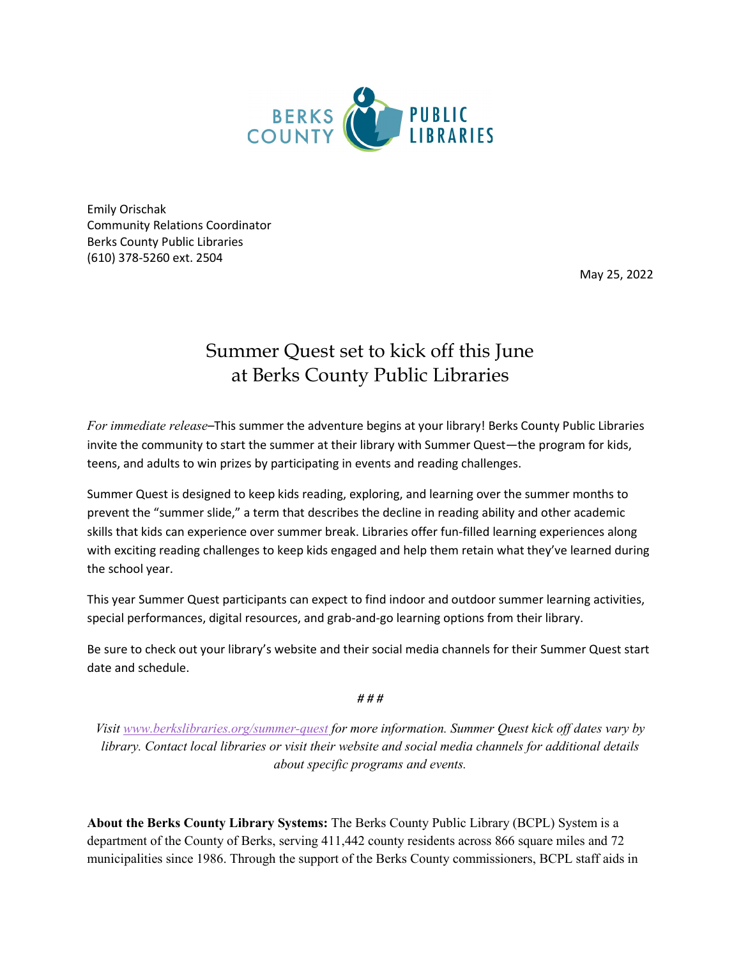

Emily Orischak Community Relations Coordinator Berks County Public Libraries (610) 378-5260 ext. 2504

May 25, 2022

## Summer Quest set to kick off this June at Berks County Public Libraries

*For immediate release–*This summer the adventure begins at your library! Berks County Public Libraries invite the community to start the summer at their library with Summer Quest—the program for kids, teens, and adults to win prizes by participating in events and reading challenges.

Summer Quest is designed to keep kids reading, exploring, and learning over the summer months to prevent the "summer slide," a term that describes the decline in reading ability and other academic skills that kids can experience over summer break. Libraries offer fun-filled learning experiences along with exciting reading challenges to keep kids engaged and help them retain what they've learned during the school year.

This year Summer Quest participants can expect to find indoor and outdoor summer learning activities, special performances, digital resources, and grab-and-go learning options from their library.

Be sure to check out your library's website and their social media channels for their Summer Quest start date and schedule.

*# # #*

*Visit [www.berkslibraries.org/summer-quest](http://www.berkslibraries.org/summer-quest) for more information. Summer Quest kick off dates vary by library. Contact local libraries or visit their website and social media channels for additional details about specific programs and events.*

**About the Berks County Library Systems:** The Berks County Public Library (BCPL) System is a department of the County of Berks, serving 411,442 county residents across 866 square miles and 72 municipalities since 1986. Through the support of the Berks County commissioners, BCPL staff aids in